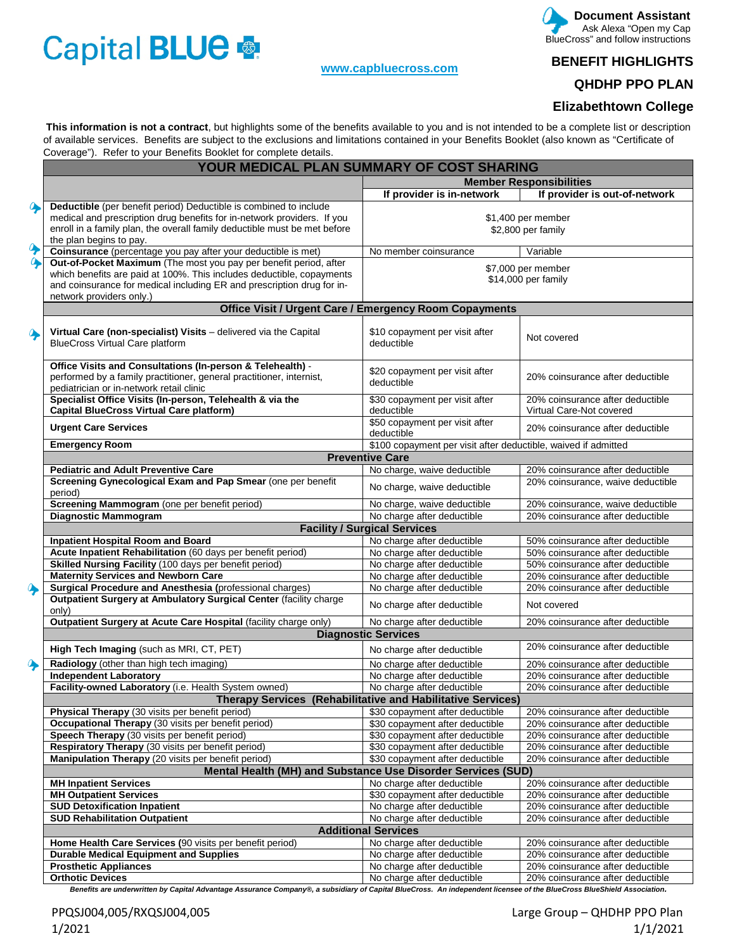# Capital BLUE

#### **[www.capbluecross.com](http://www.capbluecross.com/)**

#### **Document Assistant**  Ask Alexa "Open my Cap BlueCross" and follow instructions

### **BENEFIT HIGHLIGHTS**

## **QHDHP PPO PLAN**

#### **Elizabethtown College**

 **This information is not a contract**, but highlights some of the benefits available to you and is not intended to be a complete list or description of available services. Benefits are subject to the exclusions and limitations contained in your Benefits Booklet (also known as "Certificate of Coverage"). Refer to your Benefits Booklet for complete details.

|                  | YOUR MEDICAL PLAN SUMMARY OF COST SHARING                                                                           |                                                                |                                   |  |
|------------------|---------------------------------------------------------------------------------------------------------------------|----------------------------------------------------------------|-----------------------------------|--|
|                  |                                                                                                                     |                                                                | <b>Member Responsibilities</b>    |  |
|                  |                                                                                                                     | If provider is in-network                                      | If provider is out-of-network     |  |
| $\bullet$        | Deductible (per benefit period) Deductible is combined to include                                                   |                                                                |                                   |  |
|                  | medical and prescription drug benefits for in-network providers. If you                                             |                                                                | \$1,400 per member                |  |
|                  | enroll in a family plan, the overall family deductible must be met before<br>the plan begins to pay.                |                                                                | \$2,800 per family                |  |
| $\ddot{\bullet}$ | Coinsurance (percentage you pay after your deductible is met)                                                       | No member coinsurance                                          | Variable                          |  |
| $\bullet$        | Out-of-Pocket Maximum (The most you pay per benefit period, after                                                   |                                                                |                                   |  |
|                  | which benefits are paid at 100%. This includes deductible, copayments                                               |                                                                | \$7,000 per member                |  |
|                  | and coinsurance for medical including ER and prescription drug for in-                                              |                                                                | \$14,000 per family               |  |
|                  | network providers only.)                                                                                            |                                                                |                                   |  |
|                  |                                                                                                                     | <b>Office Visit / Urgent Care / Emergency Room Copayments</b>  |                                   |  |
|                  | Virtual Care (non-specialist) Visits - delivered via the Capital                                                    | \$10 copayment per visit after                                 |                                   |  |
| $\bullet$        | <b>BlueCross Virtual Care platform</b>                                                                              | deductible                                                     | Not covered                       |  |
|                  |                                                                                                                     |                                                                |                                   |  |
|                  | Office Visits and Consultations (In-person & Telehealth) -                                                          | \$20 copayment per visit after                                 |                                   |  |
|                  | performed by a family practitioner, general practitioner, internist,                                                | deductible                                                     | 20% coinsurance after deductible  |  |
|                  | pediatrician or in-network retail clinic                                                                            |                                                                |                                   |  |
|                  | Specialist Office Visits (In-person, Telehealth & via the                                                           | \$30 copayment per visit after                                 | 20% coinsurance after deductible  |  |
|                  | <b>Capital BlueCross Virtual Care platform)</b>                                                                     | deductible<br>\$50 copayment per visit after                   | Virtual Care-Not covered          |  |
|                  | <b>Urgent Care Services</b>                                                                                         | deductible                                                     | 20% coinsurance after deductible  |  |
|                  | <b>Emergency Room</b>                                                                                               | \$100 copayment per visit after deductible, waived if admitted |                                   |  |
|                  |                                                                                                                     | <b>Preventive Care</b>                                         |                                   |  |
|                  | <b>Pediatric and Adult Preventive Care</b>                                                                          | No charge, waive deductible                                    | 20% coinsurance after deductible  |  |
|                  | Screening Gynecological Exam and Pap Smear (one per benefit                                                         | No charge, waive deductible                                    | 20% coinsurance, waive deductible |  |
|                  | period)<br>Screening Mammogram (one per benefit period)                                                             | No charge, waive deductible                                    | 20% coinsurance, waive deductible |  |
|                  | <b>Diagnostic Mammogram</b>                                                                                         | No charge after deductible                                     | 20% coinsurance after deductible  |  |
|                  |                                                                                                                     | <b>Facility / Surgical Services</b>                            |                                   |  |
|                  | <b>Inpatient Hospital Room and Board</b>                                                                            | No charge after deductible                                     | 50% coinsurance after deductible  |  |
|                  | Acute Inpatient Rehabilitation (60 days per benefit period)                                                         | No charge after deductible                                     | 50% coinsurance after deductible  |  |
|                  | Skilled Nursing Facility (100 days per benefit period)                                                              | No charge after deductible                                     | 50% coinsurance after deductible  |  |
|                  | <b>Maternity Services and Newborn Care</b>                                                                          | No charge after deductible                                     | 20% coinsurance after deductible  |  |
| ♦                | Surgical Procedure and Anesthesia (professional charges)                                                            | No charge after deductible                                     | 20% coinsurance after deductible  |  |
|                  | Outpatient Surgery at Ambulatory Surgical Center (facility charge<br>only)                                          | No charge after deductible                                     | Not covered                       |  |
|                  | Outpatient Surgery at Acute Care Hospital (facility charge only)                                                    | No charge after deductible                                     | 20% coinsurance after deductible  |  |
|                  |                                                                                                                     | <b>Diagnostic Services</b>                                     |                                   |  |
|                  | High Tech Imaging (such as MRI, CT, PET)                                                                            | No charge after deductible                                     | 20% coinsurance after deductible  |  |
|                  | Radiology (other than high tech imaging)                                                                            | No charge after deductible                                     | 20% coinsurance after deductible  |  |
|                  | <b>Independent Laboratory</b>                                                                                       | No charge after deductible                                     | 20% coinsurance after deductible  |  |
|                  | Facility-owned Laboratory (i.e. Health System owned)                                                                | No charge after deductible                                     | 20% coinsurance after deductible  |  |
|                  |                                                                                                                     | Therapy Services (Rehabilitative and Habilitative Services)    |                                   |  |
|                  | Physical Therapy (30 visits per benefit period)                                                                     | \$30 copayment after deductible                                | 20% coinsurance after deductible  |  |
|                  | Occupational Therapy (30 visits per benefit period)                                                                 | \$30 copayment after deductible                                | 20% coinsurance after deductible  |  |
|                  | Speech Therapy (30 visits per benefit period)                                                                       | \$30 copayment after deductible                                | 20% coinsurance after deductible  |  |
|                  | Respiratory Therapy (30 visits per benefit period)                                                                  | \$30 copayment after deductible                                | 20% coinsurance after deductible  |  |
|                  | Manipulation Therapy (20 visits per benefit period)<br>Mental Health (MH) and Substance Use Disorder Services (SUD) | \$30 copayment after deductible                                | 20% coinsurance after deductible  |  |
|                  | <b>MH Inpatient Services</b>                                                                                        | No charge after deductible                                     | 20% coinsurance after deductible  |  |
|                  | <b>MH Outpatient Services</b>                                                                                       | \$30 copayment after deductible                                | 20% coinsurance after deductible  |  |
|                  | <b>SUD Detoxification Inpatient</b>                                                                                 | No charge after deductible                                     | 20% coinsurance after deductible  |  |
|                  | <b>SUD Rehabilitation Outpatient</b>                                                                                | No charge after deductible                                     | 20% coinsurance after deductible  |  |
|                  |                                                                                                                     | <b>Additional Services</b>                                     |                                   |  |
|                  | Home Health Care Services (90 visits per benefit period)                                                            | No charge after deductible                                     | 20% coinsurance after deductible  |  |
|                  | <b>Durable Medical Equipment and Supplies</b>                                                                       | No charge after deductible                                     | 20% coinsurance after deductible  |  |
|                  | <b>Prosthetic Appliances</b>                                                                                        | No charge after deductible                                     | 20% coinsurance after deductible  |  |
|                  | <b>Orthotic Devices</b>                                                                                             | No charge after deductible                                     | 20% coinsurance after deductible  |  |

*Benefits are underwritten by Capital Advantage Assurance Company®, a subsidiary of Capital BlueCross. An independent licensee of the BlueCross BlueShield Association.*